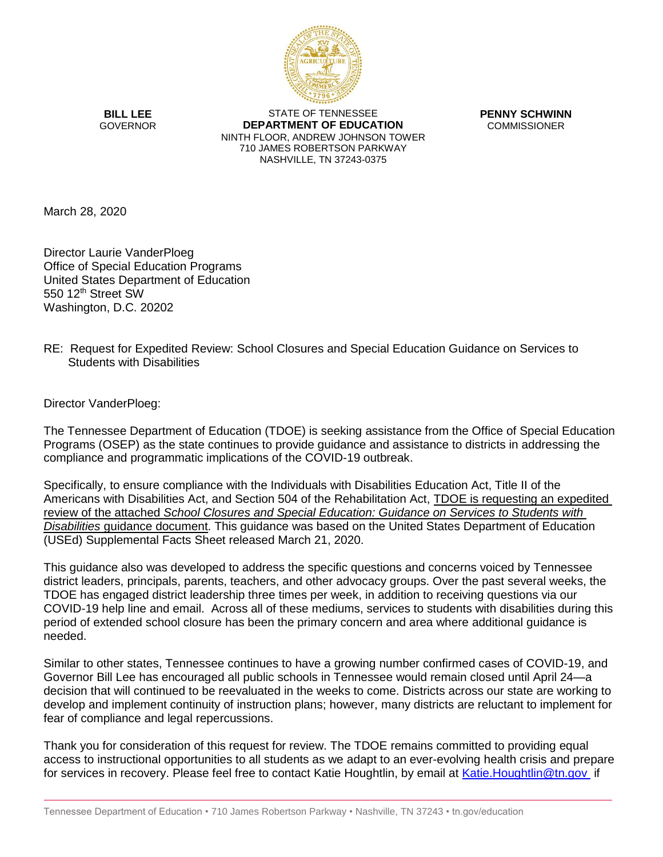

**BILL LEE** GOVERNOR

STATE OF TENNESSEE **DEPARTMENT OF EDUCATION** NINTH FLOOR, ANDREW JOHNSON TOWER 710 JAMES ROBERTSON PARKWAY NASHVILLE, TN 37243-0375

**PENNY SCHWINN** COMMISSIONER

March 28, 2020

Director Laurie VanderPloeg Office of Special Education Programs United States Department of Education 550 12<sup>th</sup> Street SW Washington, D.C. 20202

## RE: Request for Expedited Review: School Closures and Special Education Guidance on Services to Students with Disabilities

Director VanderPloeg:

The Tennessee Department of Education (TDOE) is seeking assistance from the Office of Special Education Programs (OSEP) as the state continues to provide guidance and assistance to districts in addressing the compliance and programmatic implications of the COVID-19 outbreak.

Specifically, to ensure compliance with the Individuals with Disabilities Education Act, Title II of the Americans with Disabilities Act, and Section 504 of the Rehabilitation Act, TDOE is requesting an expedited review of the attached *School Closures and Special Education: Guidance on Services to Students with Disabilities* guidance document. This guidance was based on the United States Department of Education (USEd) Supplemental Facts Sheet released March 21, 2020.

This guidance also was developed to address the specific questions and concerns voiced by Tennessee district leaders, principals, parents, teachers, and other advocacy groups. Over the past several weeks, the TDOE has engaged district leadership three times per week, in addition to receiving questions via our COVID-19 help line and email. Across all of these mediums, services to students with disabilities during this period of extended school closure has been the primary concern and area where additional guidance is needed.

Similar to other states, Tennessee continues to have a growing number confirmed cases of COVID-19, and Governor Bill Lee has encouraged all public schools in Tennessee would remain closed until April 24—a decision that will continued to be reevaluated in the weeks to come. Districts across our state are working to develop and implement continuity of instruction plans; however, many districts are reluctant to implement for fear of compliance and legal repercussions.

Thank you for consideration of this request for review. The TDOE remains committed to providing equal access to instructional opportunities to all students as we adapt to an ever-evolving health crisis and prepare for services in recovery. Please feel free to contact Katie Houghtlin, by email at [Katie.Houghtlin@tn.gov](mailto:Katie.Houghtlin@tn.gov) if